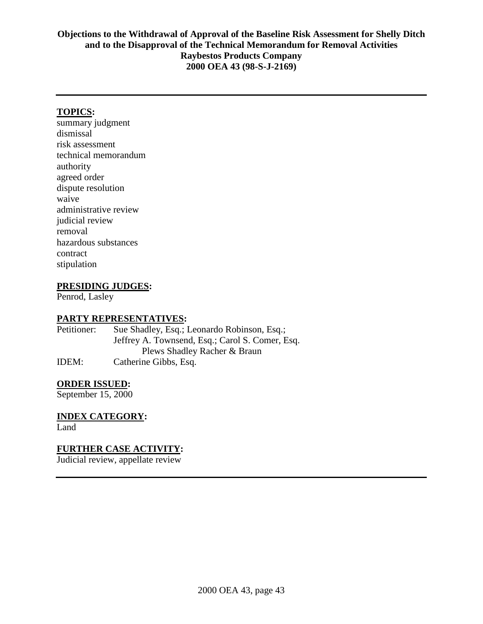## **TOPICS:**

summary judgment dismissal risk assessment technical memorandum authority agreed order dispute resolution waive administrative review judicial review removal hazardous substances contract stipulation

## **PRESIDING JUDGES:**

Penrod, Lasley

#### **PARTY REPRESENTATIVES:**

Petitioner: Sue Shadley, Esq.; Leonardo Robinson, Esq.; Jeffrey A. Townsend, Esq.; Carol S. Comer, Esq. Plews Shadley Racher & Braun IDEM: Catherine Gibbs, Esq.

#### **ORDER ISSUED:**

September 15, 2000

# **INDEX CATEGORY:**

Land

## **FURTHER CASE ACTIVITY:**

Judicial review, appellate review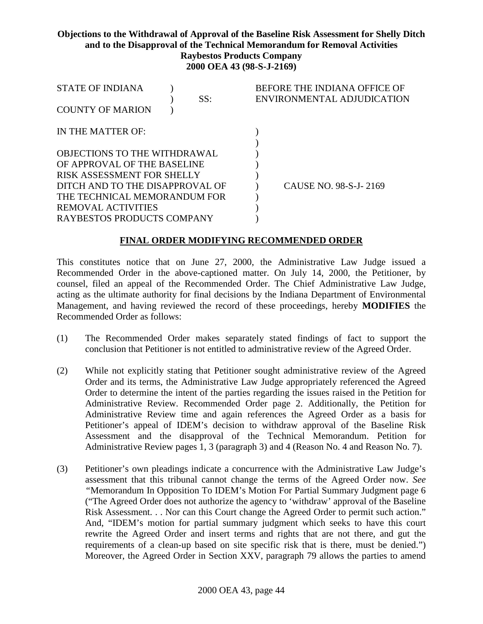| <b>STATE OF INDIANA</b>         |  |     | BEFORE THE INDIANA OFFICE OF |
|---------------------------------|--|-----|------------------------------|
|                                 |  | SS: | ENVIRONMENTAL ADJUDICATION   |
| <b>COUNTY OF MARION</b>         |  |     |                              |
| IN THE MATTER OF:               |  |     |                              |
|                                 |  |     |                              |
| OBJECTIONS TO THE WITHDRAWAL    |  |     |                              |
| OF APPROVAL OF THE BASELINE     |  |     |                              |
| RISK ASSESSMENT FOR SHELLY      |  |     |                              |
| DITCH AND TO THE DISAPPROVAL OF |  |     | CAUSE NO. 98-S-J-2169        |
| THE TECHNICAL MEMORANDUM FOR    |  |     |                              |
| REMOVAL ACTIVITIES              |  |     |                              |
| RAYBESTOS PRODUCTS COMPANY      |  |     |                              |

#### **FINAL ORDER MODIFYING RECOMMENDED ORDER**

This constitutes notice that on June 27, 2000, the Administrative Law Judge issued a Recommended Order in the above-captioned matter. On July 14, 2000, the Petitioner, by counsel, filed an appeal of the Recommended Order. The Chief Administrative Law Judge, acting as the ultimate authority for final decisions by the Indiana Department of Environmental Management, and having reviewed the record of these proceedings, hereby **MODIFIES** the Recommended Order as follows:

- (1) The Recommended Order makes separately stated findings of fact to support the conclusion that Petitioner is not entitled to administrative review of the Agreed Order.
- (2) While not explicitly stating that Petitioner sought administrative review of the Agreed Order and its terms, the Administrative Law Judge appropriately referenced the Agreed Order to determine the intent of the parties regarding the issues raised in the Petition for Administrative Review. Recommended Order page 2. Additionally, the Petition for Administrative Review time and again references the Agreed Order as a basis for Petitioner's appeal of IDEM's decision to withdraw approval of the Baseline Risk Assessment and the disapproval of the Technical Memorandum. Petition for Administrative Review pages 1, 3 (paragraph 3) and 4 (Reason No. 4 and Reason No. 7).
- (3) Petitioner's own pleadings indicate a concurrence with the Administrative Law Judge's assessment that this tribunal cannot change the terms of the Agreed Order now. *See "*Memorandum In Opposition To IDEM's Motion For Partial Summary Judgment page 6 ("The Agreed Order does not authorize the agency to 'withdraw' approval of the Baseline Risk Assessment. . . Nor can this Court change the Agreed Order to permit such action." And, "IDEM's motion for partial summary judgment which seeks to have this court rewrite the Agreed Order and insert terms and rights that are not there, and gut the requirements of a clean-up based on site specific risk that is there, must be denied.") Moreover, the Agreed Order in Section XXV, paragraph 79 allows the parties to amend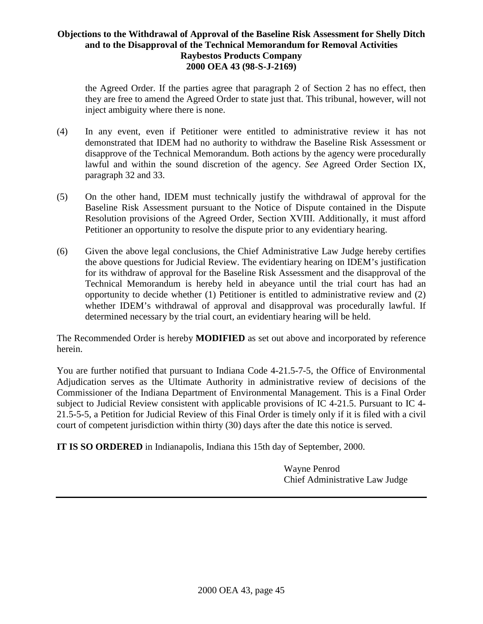the Agreed Order. If the parties agree that paragraph 2 of Section 2 has no effect, then they are free to amend the Agreed Order to state just that. This tribunal, however, will not inject ambiguity where there is none.

- (4) In any event, even if Petitioner were entitled to administrative review it has not demonstrated that IDEM had no authority to withdraw the Baseline Risk Assessment or disapprove of the Technical Memorandum. Both actions by the agency were procedurally lawful and within the sound discretion of the agency. *See* Agreed Order Section IX, paragraph 32 and 33.
- (5) On the other hand, IDEM must technically justify the withdrawal of approval for the Baseline Risk Assessment pursuant to the Notice of Dispute contained in the Dispute Resolution provisions of the Agreed Order, Section XVIII. Additionally, it must afford Petitioner an opportunity to resolve the dispute prior to any evidentiary hearing.
- (6) Given the above legal conclusions, the Chief Administrative Law Judge hereby certifies the above questions for Judicial Review. The evidentiary hearing on IDEM's justification for its withdraw of approval for the Baseline Risk Assessment and the disapproval of the Technical Memorandum is hereby held in abeyance until the trial court has had an opportunity to decide whether (1) Petitioner is entitled to administrative review and (2) whether IDEM's withdrawal of approval and disapproval was procedurally lawful. If determined necessary by the trial court, an evidentiary hearing will be held.

The Recommended Order is hereby **MODIFIED** as set out above and incorporated by reference herein.

You are further notified that pursuant to Indiana Code 4-21.5-7-5, the Office of Environmental Adjudication serves as the Ultimate Authority in administrative review of decisions of the Commissioner of the Indiana Department of Environmental Management. This is a Final Order subject to Judicial Review consistent with applicable provisions of IC 4-21.5. Pursuant to IC 4- 21.5-5-5, a Petition for Judicial Review of this Final Order is timely only if it is filed with a civil court of competent jurisdiction within thirty (30) days after the date this notice is served.

**IT IS SO ORDERED** in Indianapolis, Indiana this 15th day of September, 2000.

Wayne Penrod Chief Administrative Law Judge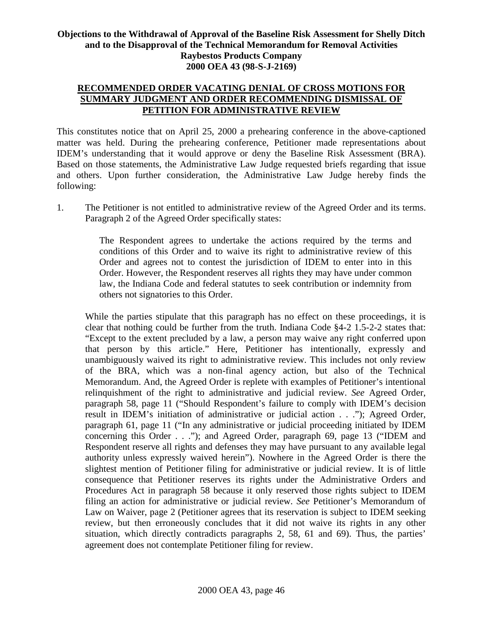## **RECOMMENDED ORDER VACATING DENIAL OF CROSS MOTIONS FOR SUMMARY JUDGMENT AND ORDER RECOMMENDING DISMISSAL OF PETITION FOR ADMINISTRATIVE REVIEW**

This constitutes notice that on April 25, 2000 a prehearing conference in the above-captioned matter was held. During the prehearing conference, Petitioner made representations about IDEM's understanding that it would approve or deny the Baseline Risk Assessment (BRA). Based on those statements, the Administrative Law Judge requested briefs regarding that issue and others. Upon further consideration, the Administrative Law Judge hereby finds the following:

1. The Petitioner is not entitled to administrative review of the Agreed Order and its terms. Paragraph 2 of the Agreed Order specifically states:

> The Respondent agrees to undertake the actions required by the terms and conditions of this Order and to waive its right to administrative review of this Order and agrees not to contest the jurisdiction of IDEM to enter into in this Order. However, the Respondent reserves all rights they may have under common law, the Indiana Code and federal statutes to seek contribution or indemnity from others not signatories to this Order.

While the parties stipulate that this paragraph has no effect on these proceedings, it is clear that nothing could be further from the truth. Indiana Code  $\S4-2$  1.5-2-2 states that: "Except to the extent precluded by a law, a person may waive any right conferred upon that person by this article." Here, Petitioner has intentionally, expressly and unambiguously waived its right to administrative review. This includes not only review of the BRA, which was a non-final agency action, but also of the Technical Memorandum. And, the Agreed Order is replete with examples of Petitioner's intentional relinquishment of the right to administrative and judicial review. *See* Agreed Order, paragraph 58, page 11 ("Should Respondent's failure to comply with IDEM's decision result in IDEM's initiation of administrative or judicial action . . ."); Agreed Order, paragraph 61, page 11 ("In any administrative or judicial proceeding initiated by IDEM concerning this Order . . ."); and Agreed Order, paragraph 69, page 13 ("IDEM and Respondent reserve all rights and defenses they may have pursuant to any available legal authority unless expressly waived herein"). Nowhere in the Agreed Order is there the slightest mention of Petitioner filing for administrative or judicial review. It is of little consequence that Petitioner reserves its rights under the Administrative Orders and Procedures Act in paragraph 58 because it only reserved those rights subject to IDEM filing an action for administrative or judicial review. *See* Petitioner's Memorandum of Law on Waiver, page 2 (Petitioner agrees that its reservation is subject to IDEM seeking review, but then erroneously concludes that it did not waive its rights in any other situation, which directly contradicts paragraphs 2, 58, 61 and 69). Thus, the parties' agreement does not contemplate Petitioner filing for review.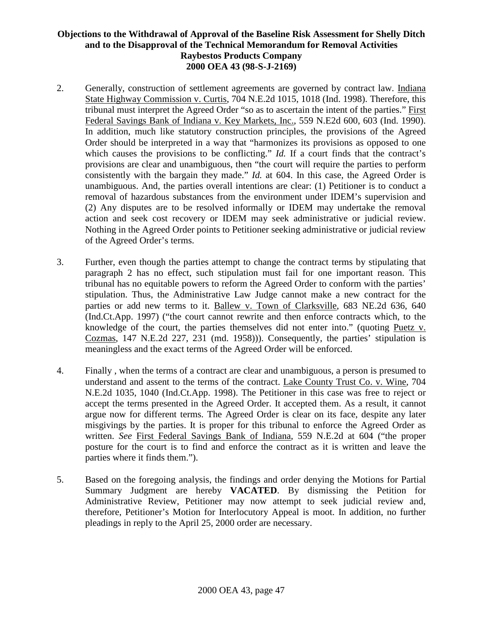- 2. Generally, construction of settlement agreements are governed by contract law. Indiana State Highway Commission v. Curtis, 704 N.E.2d 1015, 1018 (Ind. 1998). Therefore, this tribunal must interpret the Agreed Order "so as to ascertain the intent of the parties." First Federal Savings Bank of Indiana v. Key Markets, Inc., 559 N.E2d 600, 603 (Ind. 1990). In addition, much like statutory construction principles, the provisions of the Agreed Order should be interpreted in a way that "harmonizes its provisions as opposed to one which causes the provisions to be conflicting." *Id.* If a court finds that the contract's provisions are clear and unambiguous, then "the court will require the parties to perform consistently with the bargain they made." *Id.* at 604. In this case, the Agreed Order is unambiguous. And, the parties overall intentions are clear: (1) Petitioner is to conduct a removal of hazardous substances from the environment under IDEM's supervision and (2) Any disputes are to be resolved informally or IDEM may undertake the removal action and seek cost recovery or IDEM may seek administrative or judicial review. Nothing in the Agreed Order points to Petitioner seeking administrative or judicial review of the Agreed Order's terms.
- 3. Further, even though the parties attempt to change the contract terms by stipulating that paragraph 2 has no effect, such stipulation must fail for one important reason. This tribunal has no equitable powers to reform the Agreed Order to conform with the parties' stipulation. Thus, the Administrative Law Judge cannot make a new contract for the parties or add new terms to it. Ballew v. Town of Clarksville, 683 NE.2d 636, 640 (Ind.Ct.App. 1997) ("the court cannot rewrite and then enforce contracts which, to the knowledge of the court, the parties themselves did not enter into." (quoting Puetz v. Cozmas, 147 N.E.2d 227, 231 (md. 1958))). Consequently, the parties' stipulation is meaningless and the exact terms of the Agreed Order will be enforced.
- 4. Finally , when the terms of a contract are clear and unambiguous, a person is presumed to understand and assent to the terms of the contract. Lake County Trust Co. v. Wine, 704 N.E.2d 1035, 1040 (Ind.Ct.App. 1998). The Petitioner in this case was free to reject or accept the terms presented in the Agreed Order. It accepted them. As a result, it cannot argue now for different terms. The Agreed Order is clear on its face, despite any later misgivings by the parties. It is proper for this tribunal to enforce the Agreed Order as written. *See* First Federal Savings Bank of Indiana, 559 N.E.2d at 604 ("the proper posture for the court is to find and enforce the contract as it is written and leave the parties where it finds them.").
- 5. Based on the foregoing analysis, the findings and order denying the Motions for Partial Summary Judgment are hereby **VACATED**. By dismissing the Petition for Administrative Review, Petitioner may now attempt to seek judicial review and, therefore, Petitioner's Motion for Interlocutory Appeal is moot. In addition, no further pleadings in reply to the April 25, 2000 order are necessary.